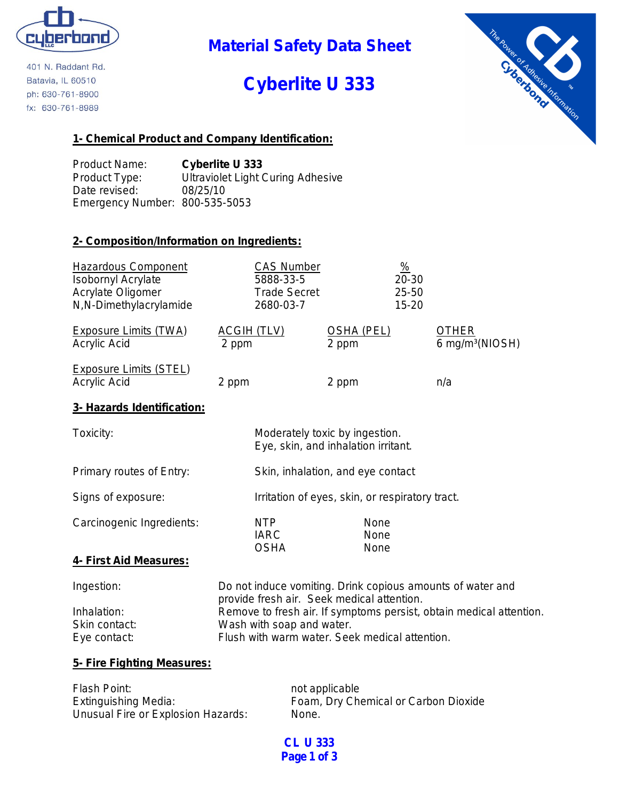

401 N. Raddant Rd. Batavia, IL 60510 ph: 630-761-8900 fx: 630-761-8989

## **Material Safety Data Sheet**

# **Cyberlite U 333**



#### **1- Chemical Product and Company Identification:**

Product Name: **Cyberlite U 333** Product Type: Ultraviolet Light Curing Adhesive Date revised: 08/25/10 Emergency Number: 800-535-5053

#### **2- Composition/Information on Ingredients:**

| <b>Hazardous Component</b><br><b>Isobornyl Acrylate</b><br>Acrylate Oligomer<br>N,N-Dimethylacrylamide | <b>CAS Number</b><br>5888-33-5<br><b>Trade Secret</b><br>2680-03-7                                       |                                                                       | $\frac{0}{2}$<br>20-30<br>25-50<br>15-20 |                                             |
|--------------------------------------------------------------------------------------------------------|----------------------------------------------------------------------------------------------------------|-----------------------------------------------------------------------|------------------------------------------|---------------------------------------------|
| <b>Exposure Limits (TWA)</b><br>Acrylic Acid                                                           | <b>ACGIH (TLV)</b><br>2 ppm                                                                              | <u>OSHA (PEL)</u><br>2 ppm                                            |                                          | <b>OTHER</b><br>6 mg/m <sup>3</sup> (NIOSH) |
| <b>Exposure Limits (STEL)</b><br>Acrylic Acid                                                          | 2 ppm                                                                                                    | 2 ppm                                                                 |                                          | n/a                                         |
| 3- Hazards Identification:                                                                             |                                                                                                          |                                                                       |                                          |                                             |
| Toxicity:                                                                                              |                                                                                                          | Moderately toxic by ingestion.<br>Eye, skin, and inhalation irritant. |                                          |                                             |
| Primary routes of Entry:                                                                               |                                                                                                          | Skin, inhalation, and eye contact                                     |                                          |                                             |
| Signs of exposure:                                                                                     |                                                                                                          | Irritation of eyes, skin, or respiratory tract.                       |                                          |                                             |
| Carcinogenic Ingredients:                                                                              | NTP<br><b>IARC</b><br><b>OSHA</b>                                                                        | None<br>None<br>None                                                  |                                          |                                             |
| 4- First Aid Measures:                                                                                 |                                                                                                          |                                                                       |                                          |                                             |
| Ingestion:                                                                                             | Do not induce vomiting. Drink copious amounts of water and<br>provide fresh air. Seek medical attention. |                                                                       |                                          |                                             |
| Inhalation:<br>Skin contact:                                                                           | Remove to fresh air. If symptoms persist, obtain medical attention.<br>Wash with soap and water.         |                                                                       |                                          |                                             |

#### **5- Fire Fighting Measures:**

| Flash Point:                       | not applicable                       |
|------------------------------------|--------------------------------------|
| Extinguishing Media:               | Foam, Dry Chemical or Carbon Dioxide |
| Unusual Fire or Explosion Hazards: | None.                                |

Eye contact: Flush with warm water. Seek medical attention.

**CL U 333 Page 1 of 3**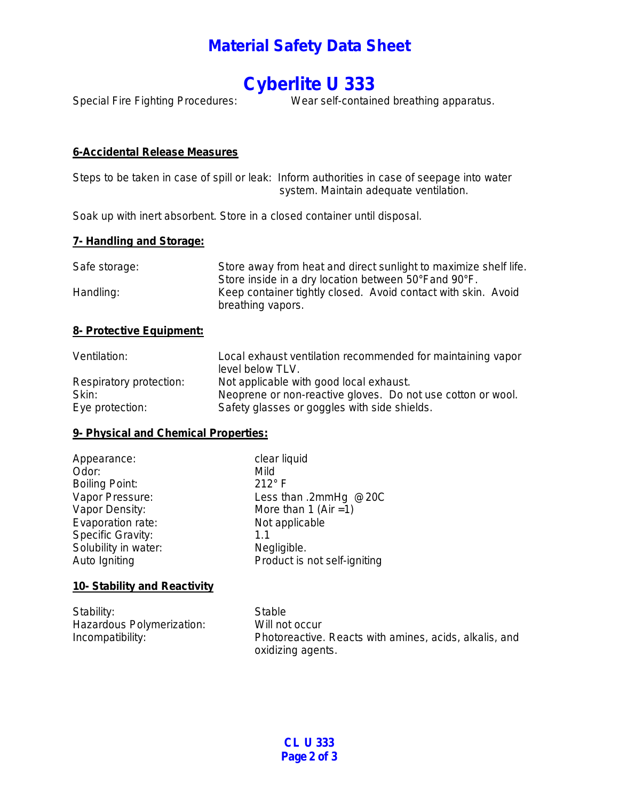### **Material Safety Data Sheet**

## **Cyberlite U 333**

Special Fire Fighting Procedures: Wear self-contained breathing apparatus.

#### **6-Accidental Release Measures**

Steps to be taken in case of spill or leak: Inform authorities in case of seepage into water system. Maintain adequate ventilation.

Soak up with inert absorbent. Store in a closed container until disposal.

#### **7- Handling and Storage:**

| Safe storage: | Store away from heat and direct sunlight to maximize shelf life.                   |  |
|---------------|------------------------------------------------------------------------------------|--|
|               | Store inside in a dry location between 50°Fand 90°F.                               |  |
| Handling:     | Keep container tightly closed. Avoid contact with skin. Avoid<br>breathing vapors. |  |

#### **8- Protective Equipment:**

| Ventilation:            | Local exhaust ventilation recommended for maintaining vapor<br>level below TLV. |
|-------------------------|---------------------------------------------------------------------------------|
| Respiratory protection: | Not applicable with good local exhaust.                                         |
| Skin:                   | Neoprene or non-reactive gloves. Do not use cotton or wool.                     |
| Eye protection:         | Safety glasses or goggles with side shields.                                    |

#### **9- Physical and Chemical Properties:**

| Appearance:           | clear liquid                 |
|-----------------------|------------------------------|
| Odor:                 | Mild                         |
| <b>Boiling Point:</b> | $212^{\circ}$ F              |
| Vapor Pressure:       | Less than .2mmHg @20C        |
| Vapor Density:        | More than 1 (Air = 1)        |
| Evaporation rate:     | Not applicable               |
| Specific Gravity:     | 1.1                          |
| Solubility in water:  | Negligible.                  |
| Auto Igniting         | Product is not self-igniting |
|                       |                              |

#### **10- Stability and Reactivity**

| Stability:                | Stable                                                 |
|---------------------------|--------------------------------------------------------|
| Hazardous Polymerization: | Will not occur                                         |
| Incompatibility:          | Photoreactive. Reacts with amines, acids, alkalis, and |
|                           | oxidizing agents.                                      |